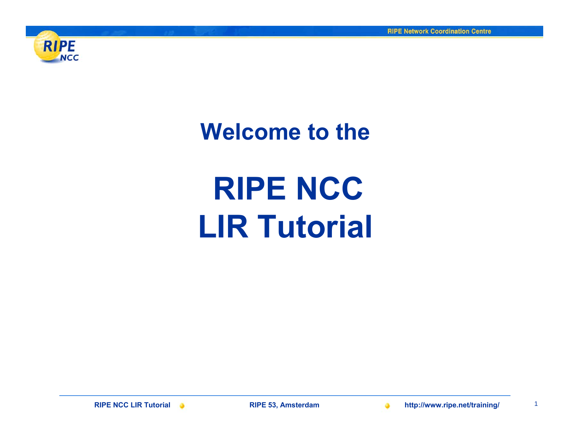

**Welcome to the**

# **RIPE NCC LIR Tutorial**

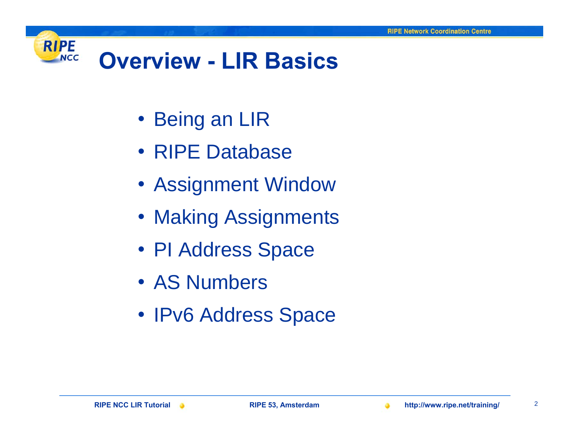

- Being an LIR
- RIPE Database
- Assignment Window
- Making Assignments
- PI Address Space
- AS Numbers
- IPv6 Address Space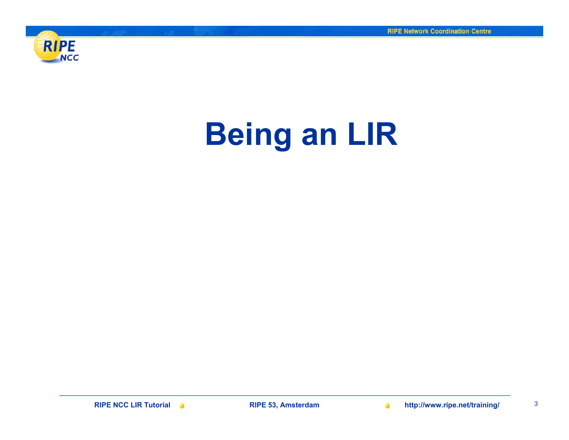<span id="page-2-0"></span>

# **Being an LIR**

**RIPE NCC LIR Tutorial RIPE 53, Amsterdam http://www.ripe.net/training/** <sup>3</sup>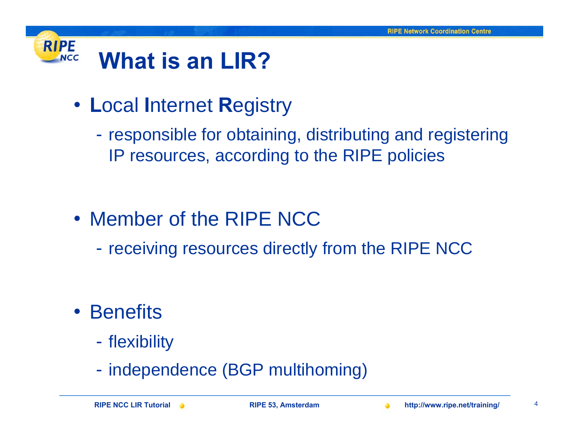

- **L**ocal **I**nternet **R**egistry
	- -- responsible for obtaining, distributing and registering IP resources, according to the RIPE policies

- Member of the RIPE NCC
	- -- receiving resources directly from the RIPE NCC

- Benefits
	- -- flexibility
	- -- independence (BGP multihoming)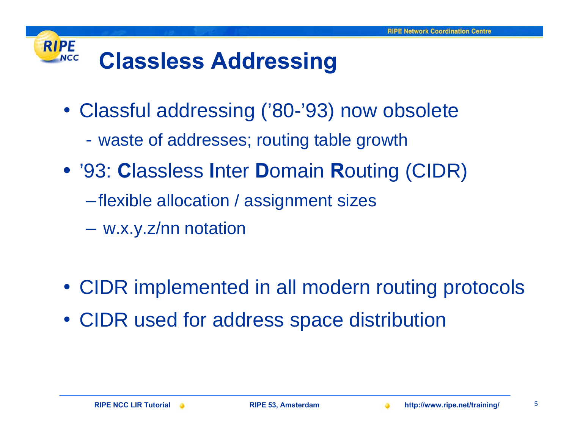#### **RIPE Classless Addressing NCC**

- Classful addressing ('80-'93) now obsolete
	- waste of addresses; routing table growth
- '93: **C**lassless **I**nter **D**omain **R**outing (CIDR)
	- –flexible allocation / assignment sizes
	- w.x.y.z/nn notation
- CIDR implemented in all modern routing protocols
- CIDR used for address space distribution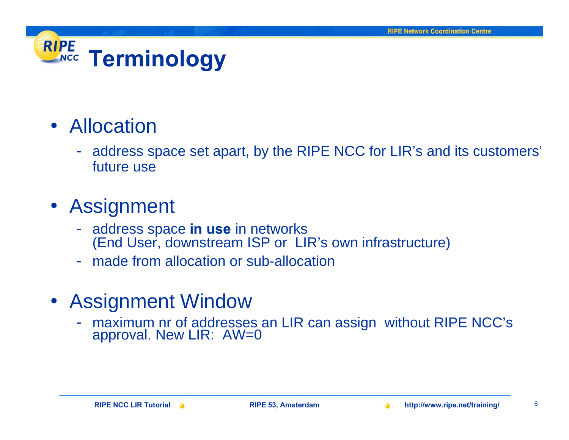### **RIPE Terminology**

### • Allocation

- address space set apart, by the RIPE NCC for LIR's and its customers' future use

### • Assignment

- address space **in use** in networks (End User, downstream ISP or LIR's own infrastructure)
- made from allocation or sub-allocation

### • Assignment Window

maximum nr of addresses an LIR can assign without RIPE NCC's approval. New LIR: AW=0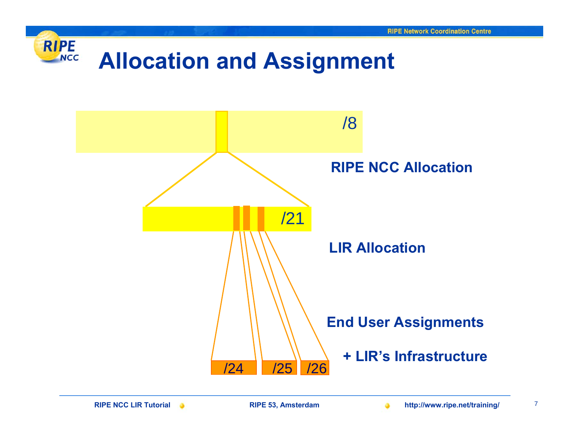

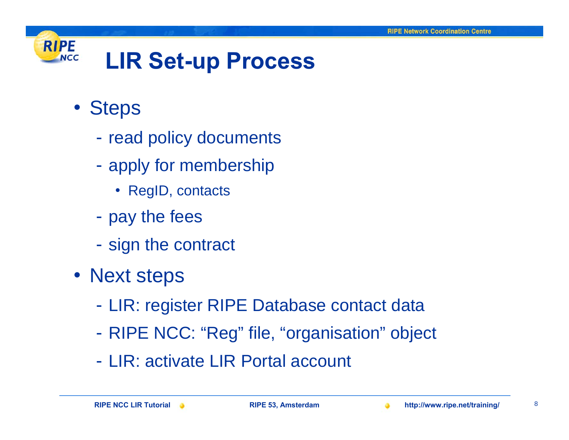

- Steps
	- -- read policy documents
	- -- apply for membership
		- RegID, contacts
	- -- pay the fees
	- -- sign the contract
- Next steps
	- -LIR: register RIPE Database contact data
	- -RIPE NCC: "Reg" file, "organisation" object
	- LIR: activate LIR Portal account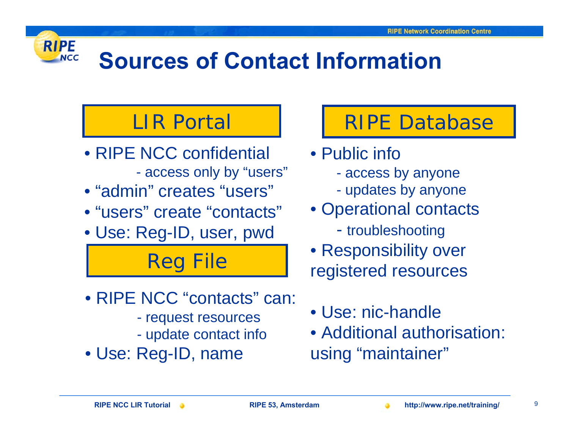## **Sources of Contact Information**

### LIR Portal

**RIPE** 

**NCC** 

- RIPE NCC confidential access only by "users"
- "admin" creates "users"
- "users" create "contacts"
- Use: Reg-ID, user, pwd

Reg File

- RIPE NCC "contacts" can:
	- request resources
	- $\mathcal{L}_{\mathcal{A}}$ update contact info
- Use: Reg-ID, name

### **I** | RIPE Database

- Public info
	- access by anyone
	- updates by anyone
- Operational contacts
	- troubleshooting
- Responsibility over registered resources
- Use: nic-handle
- Additional authorisation: using "maintainer"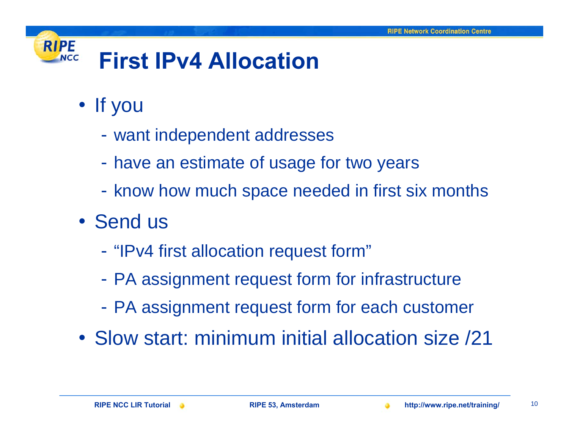#### **RIPE First IPv4 AllocationNCC**

- If you
	- want independent addresses
	- have an estimate of usage for two years
	- know how much space needed in first six months
- Send us
	- "IPv4 first allocation request form"
	- PA assignment request form for infrastructure
	- PA assignment request form for each customer
- Slow start: minimum initial allocation size /21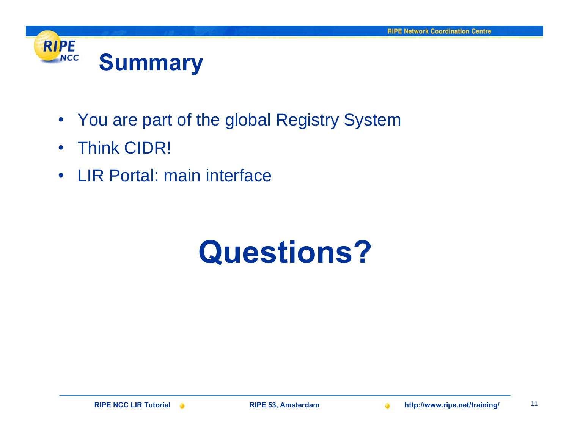

- You are part of the global Registry System
- •Think CIDR!
- $\bullet$ LIR Portal: main interface

# **Questions?**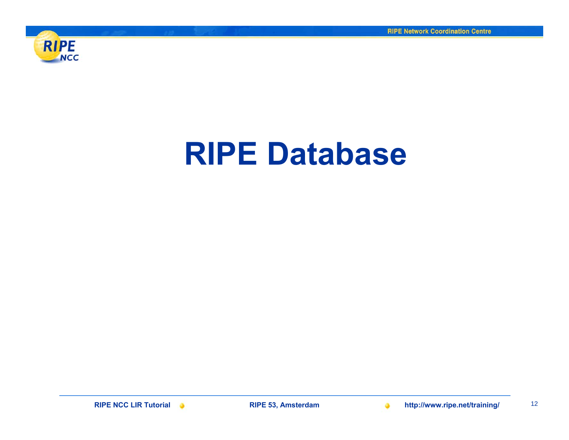

# **RIPE Database**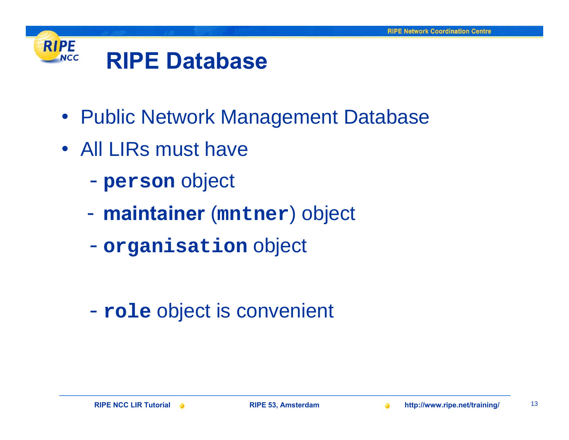

- Public Network Management Database
- All LIRs must have
	- -**person** object
	- **maintainer** (**mntner**) object
	- -**organisation** object

-**role** object is convenient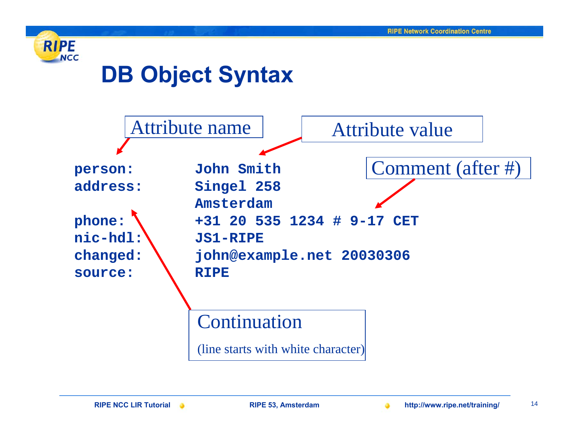

### **DB Object Syntax**

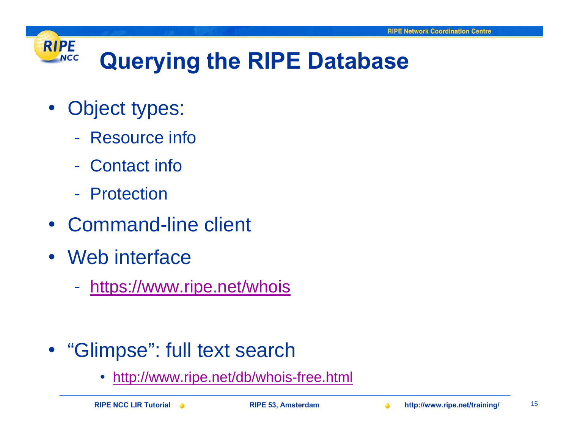### **RIPE NCC**

## **Querying the RIPE Database**

- $\bullet$  Object types:
	- Resource info
	- Contact info
	- Protection
- $\bullet$ Command-line client
- Web interface
	- <https://www.ripe.net/whois>

- "Glimpse": full text search
	- •http://ww[w.ripe.net/db/whois-free.html](http://www.ripe.net/db/whois-free.html)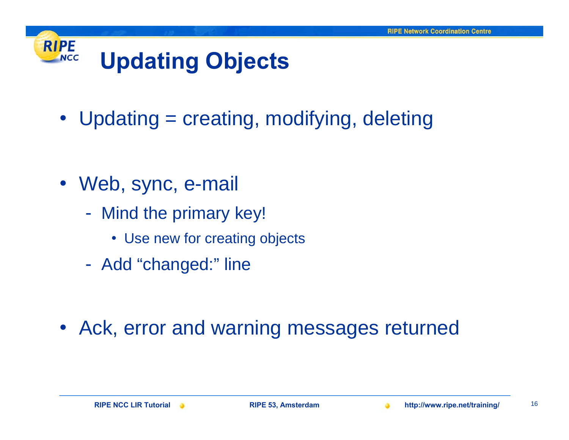### **RIPE Updating Objects NCC**

• Updating = creating, modifying, deleting

- Web, sync, e-mail
	- $\mathcal{L}_{\mathcal{A}}$ - Mind the primary key!
		- Use new for creating objects
	- Add "changed:" line

• Ack, error and warning messages returned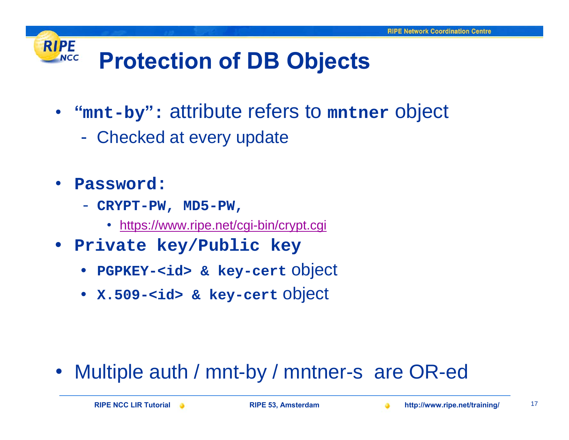### **RIPE Protection of DB Objects NCC**

- **"mnt-by " :** attribute refers to **mntner** object
	- -Checked at every update
- • **Password:** 
	- **CRYPT-PW, MD5-PW,** 
		- <https://www.ripe.net/cgi-bin/crypt.cgi>
- **Private key/Public key**
	- **PGPKEY-<id> & key-cert** object
	- **X.509-<id> & key-cert** object

• Multiple auth / mnt-by / mntner-s are OR-ed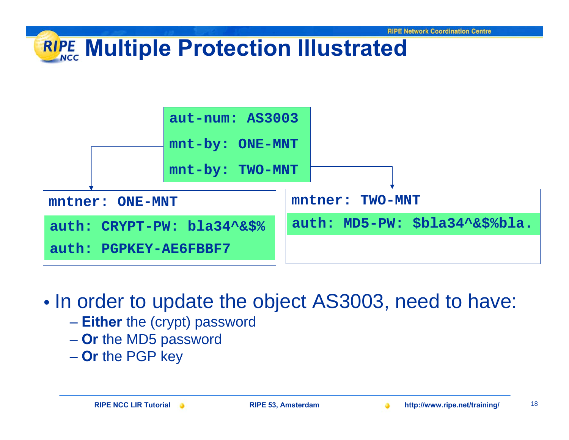### **Multiple Protection Illustrated**



•• In order to update the object AS3003, need to have:

- **Either** the (crypt) password
- **Or** the MD5 password
- **Or** the PGP key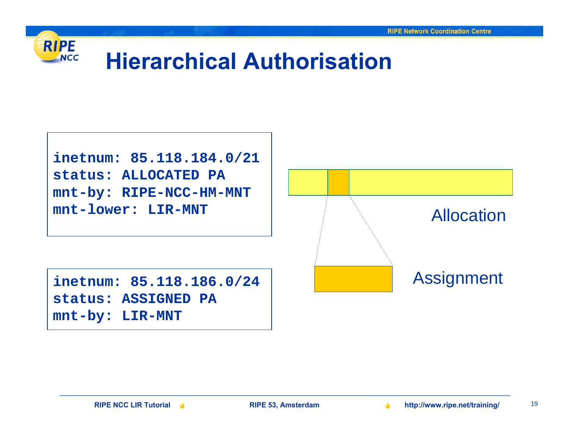

### **Hierarchical Authorisation**

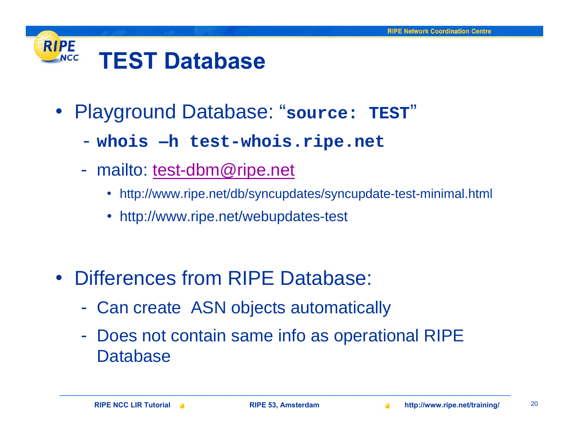#### **RIPE TEST DatabaseNCC**

- Playground Database: "**source: TEST** "
	- **whois –h test-whois.ripe.net**
	- - mailto: [test-dbm@ripe.net](mailto:test-dbm@ripe.net)
		- http://www.ripe.net/db/syncupdates/syncupdate-test-minimal.html
		- http://www.ripe.net/webupdates-test

- Differences from RIPE Database:
	- -Can create ASN objects automatically
	- - Does not contain same info as operational RIPE **Database**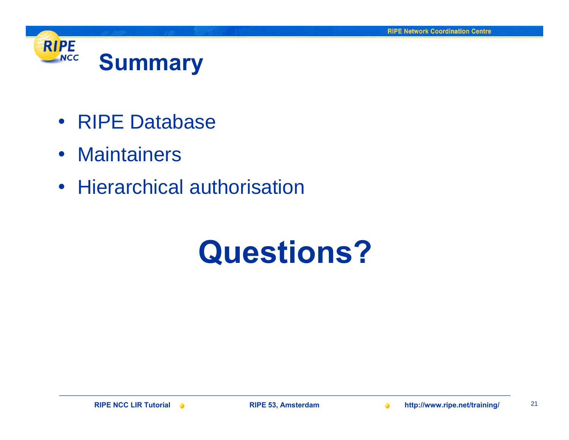

- RIPE Database
- Maintainers
- Hierarchical authorisation

# **Questions?**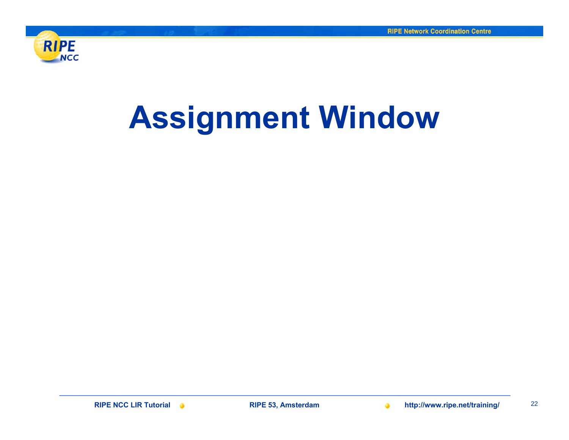

# **Assignment Window**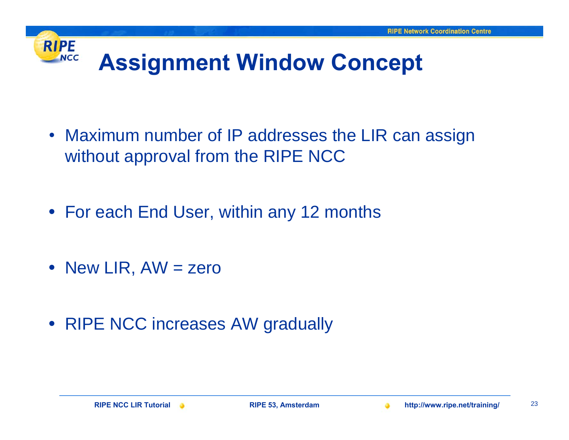### **RIPE NCC Assignment Window Concept**

- Maximum number of IP addresses the LIR can assign without approval from the RIPE NCC
- For each End User, within any 12 months
- New LIR, AW = zero
- RIPE NCC increases AW gradually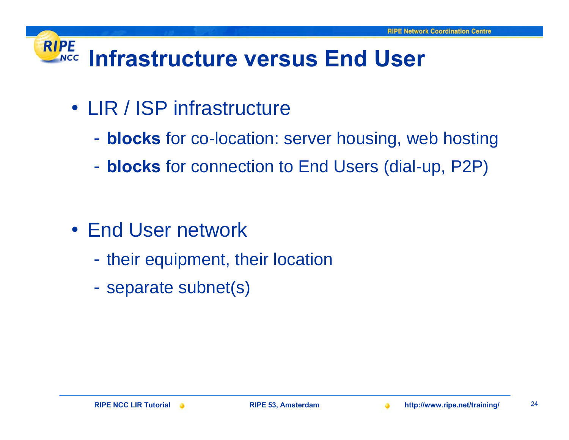#### **RIPE Infrastructure versus End UserNCC**

- LIR / ISP infrastructure
	- **blocks** for co-location: server housing, web hosting
	- **blocks** for connection to End Users (dial-up, P2P)

- End User network
	- -- their equipment, their location
	- -- separate subnet(s)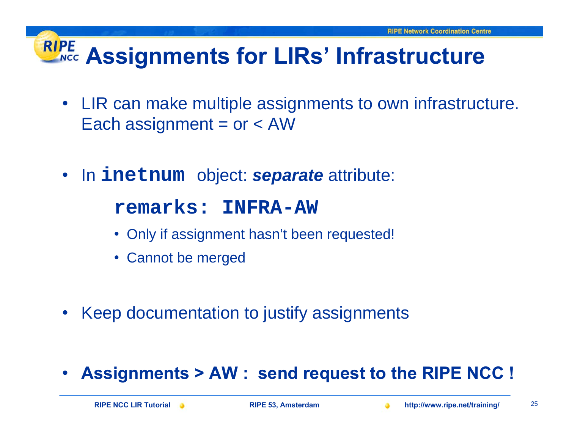### **RIPE Assignments for LIRs' Infrastructure**

- LIR can make multiple assignments to own infrastructure. Each assignment =  $or < AW$
- In **inetnum** object: *separate* attribute:

**remarks: INFRA-AW** 

- Only if assignment hasn't been requested!
- Cannot be merged
- $\bullet$ Keep documentation to justify assignments

•**Assignments > AW : send request to the RIPE NCC !**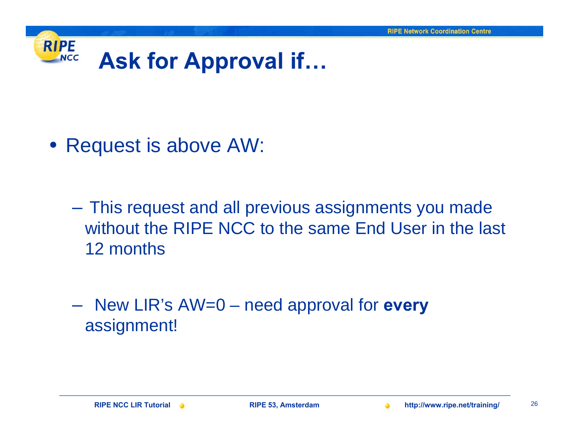

• Request is above AW:

- This request and all previous assignments you made without the RIPE NCC to the same End User in the last 12 months
- New LIR's AW=0 need approval for **every** assignment!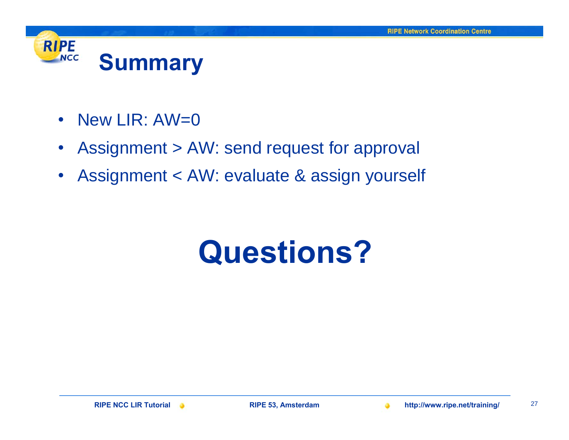

- $\bullet$ New LIR: AW=0
- $\bullet$ Assignment > AW: send request for approval
- $\bullet$ Assignment < AW: evaluate & assign yourself

# **Questions?**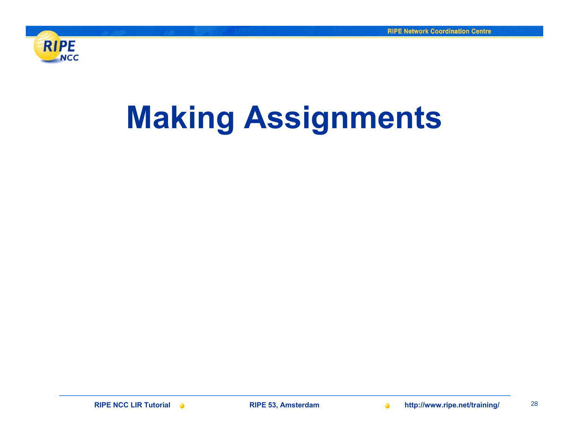

# **Making Assignments**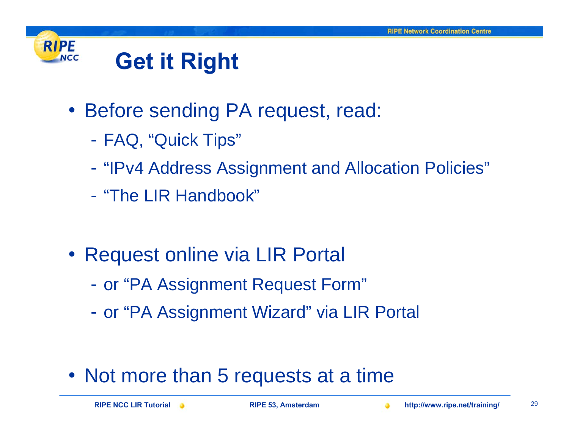

### **Get it Right**

- Before sending PA request, read:
	- FAQ, "Quick Tips"
	- -"IPv4 Address Assignment and Allocation Policies"
	- "The LIR Handbook"
- Request online via LIR Portal
	- or "PA Assignment Request Form"
	- or "PA Assignment Wizard" via LIR Portal

• Not more than 5 requests at a time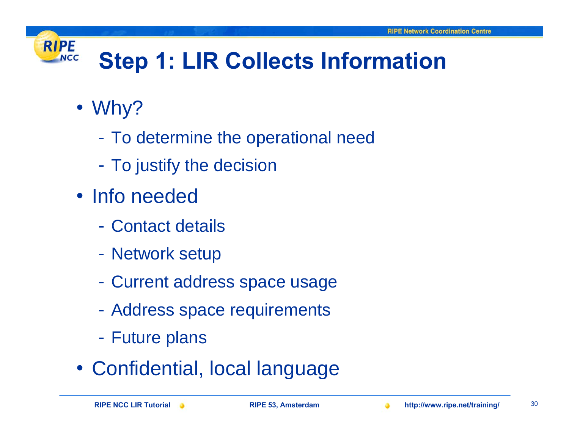

## **Step 1: LIR Collects Information**

- Why?
	- $\mathcal{L}_{\mathcal{A}}$ To determine the operational need
	- $\mathcal{L}_{\mathcal{A}}$ To justify the decision
- Info needed
	- Contact details
	- $\mathcal{L}_{\mathcal{A}}$ Network setup
	- $\mathcal{L}_{\mathcal{A}}$ Current address space usage
	- -Address space requirements
	- $\mathcal{L}_{\mathcal{A}}$ Future plans
- Confidential, local language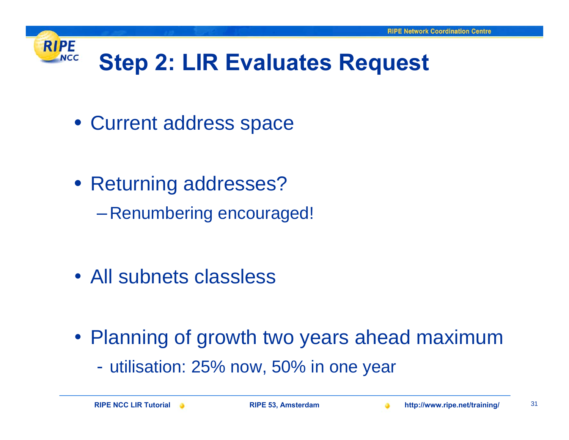

## **Step 2: LIR Evaluates Request**

- Current address space
- Returning addresses?
	- –Renumbering encouraged!

- All subnets classless
- Planning of growth two years ahead maximum
	- utilisation: 25% now, 50% in one year

**RIPE NCC LIR Tutorial RIPE 53, Amsterdam http://www.ripe.net/training/** <sup>31</sup>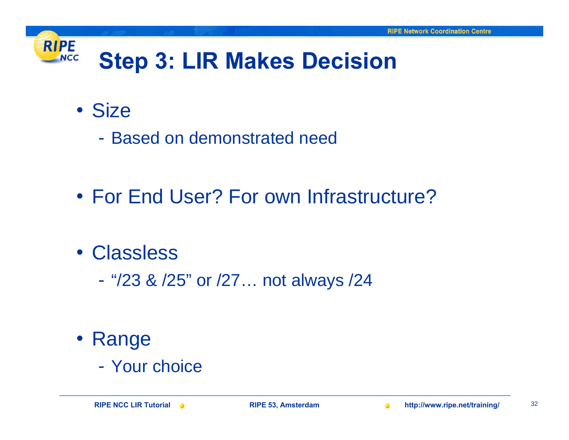

- Size
	- Based on demonstrated need
- For End User? For own Infrastructure?
- Classless
	- $\mathcal{L}_{\mathcal{A}}$ "/23 & /25" or /27… not always /24

- Range
	- Your choice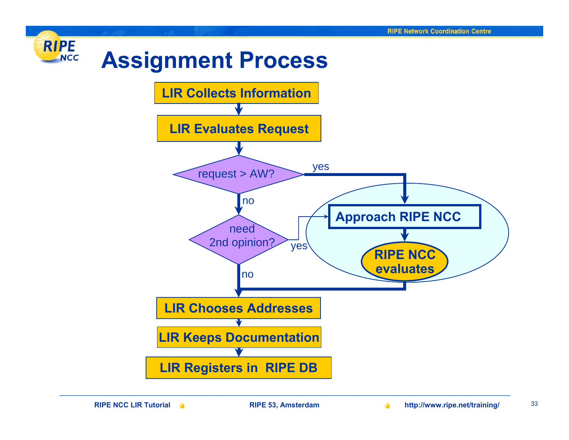

**RIPE NCC LIR Tutorial RIPE 53, Amsterdam http://www.ripe.net/training/** <sup>33</sup>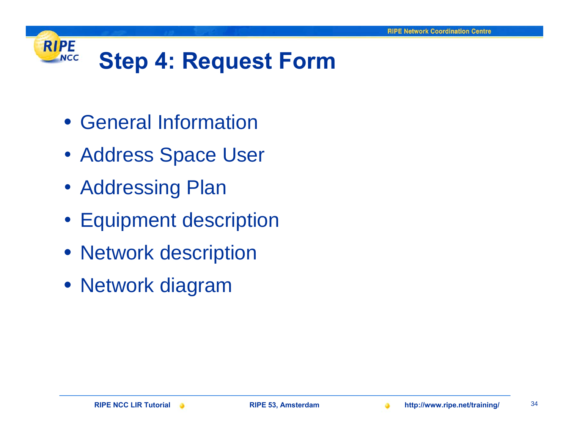### **RIPE Step 4: Request Form NCC**

- General Information
- Address Space User
- Addressing Plan
- Equipment description
- Network description
- Network diagram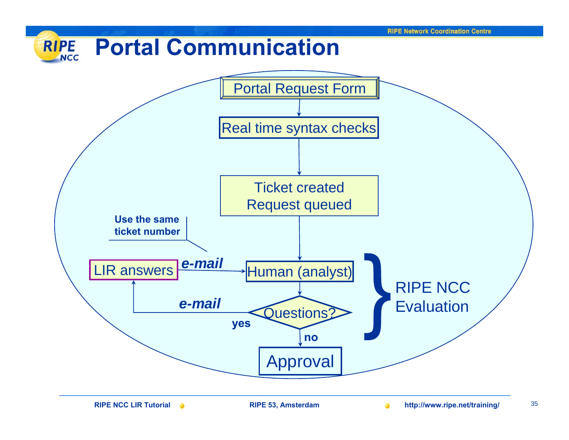#### **Portal CommunicationRIPE NCC**

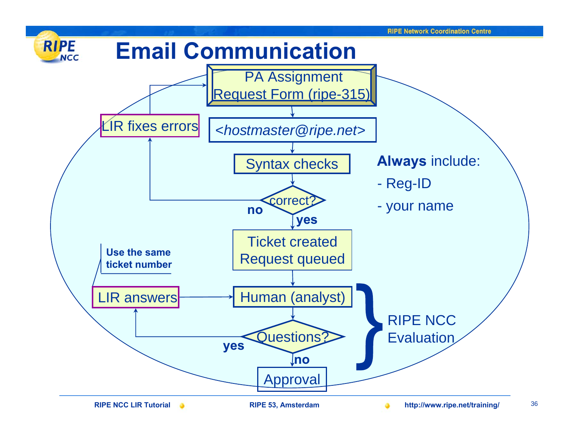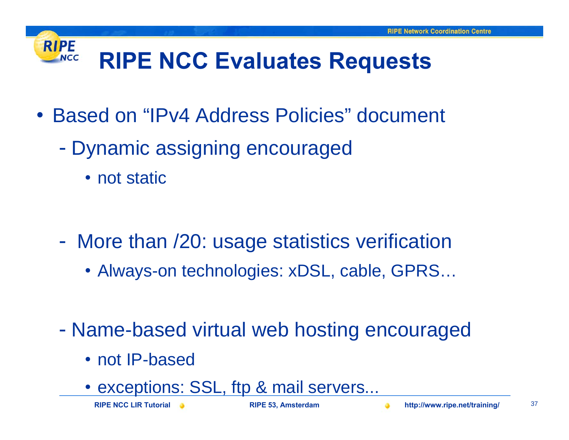#### **RIPE RIPE NCC Evaluates Requests NCC**

- Based on "IPv4 Address Policies" document
	- $\mathcal{L}_{\mathcal{A}}$  Dynamic assigning encouraged
		- not static

- $\mathcal{L}_{\mathcal{A}}$  More than /20: usage statistics verification
	- Always-on technologies: xDSL, cable, GPRS…
- $\mathcal{L}_{\mathcal{A}}$  Name-based virtual web hosting encouraged
	- not IP-based
	- exceptions: SSL, ftp & mail servers...

**RIPE NCC LIR Tutorial RIPE 53, Amsterdam http://www.ripe.net/training/** <sup>37</sup>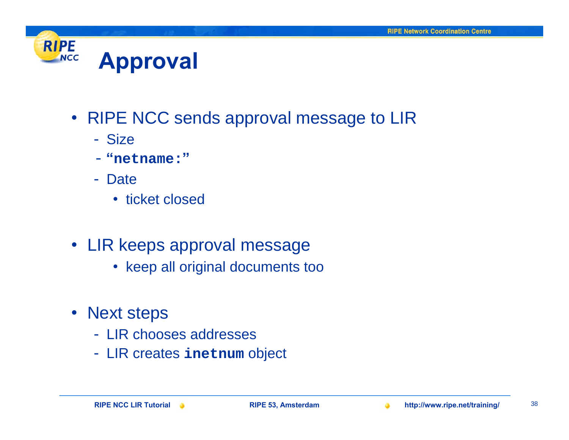

- RIPE NCC sends approval message to LIR
	- Size
	- -**"netname:"**
	- Date
		- ticket closed
- LIR keeps approval message
	- keep all original documents too
- Next steps
	- LIR chooses addresses
	- LIR creates **inetnum** object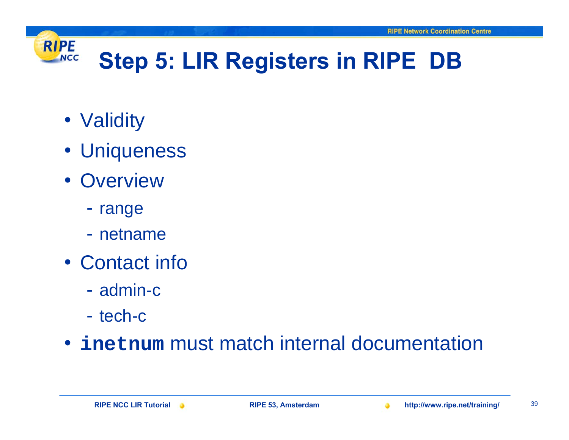

## **Step 5: LIR Registers in RIPE DB**

- Validity
- Uniqueness
- Overview
	- range
	- netname
- Contact info
	- admin-c
	- tech-c

### • **inetnum** must match internal documentation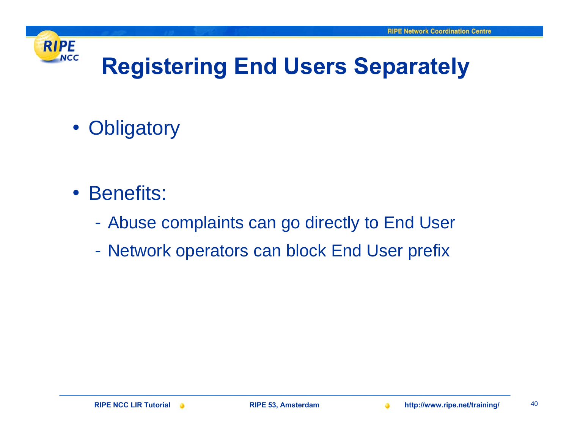

## **Registering End Users Separately**

• Obligatory

- Benefits:
	- Abuse complaints can go directly to End User
	- Network operators can block End User prefix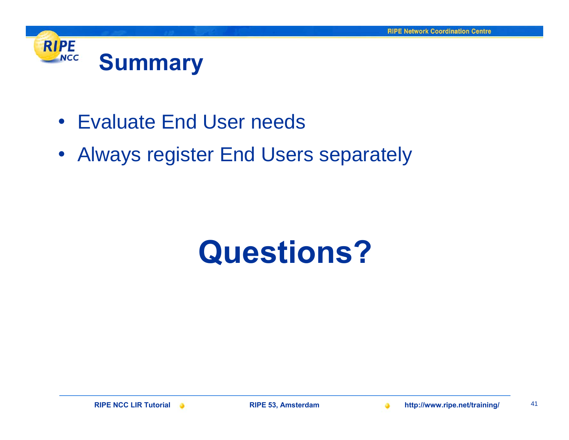

- Evaluate End User needs
- Always register End Users separately

# **Questions?**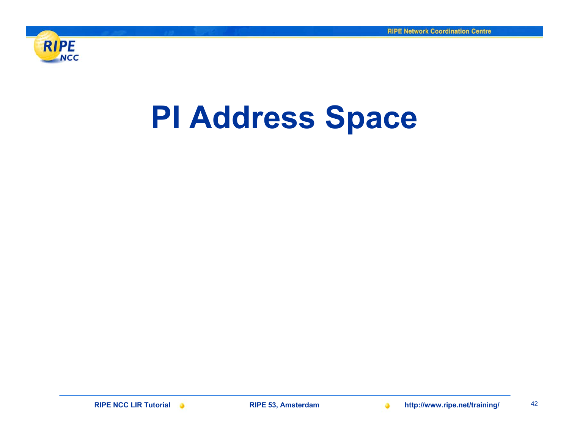

# **PI Address Space**

**RIPE NCC LIR Tutorial RIPE 53, Amsterdam http://www.ripe.net/training/** <sup>42</sup>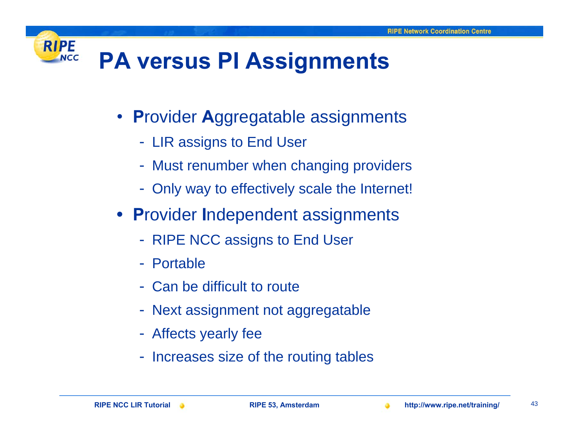#### **RIPE PA versus PI Assignments NCC**

- **P**rovider **A**ggregatable assignments
	- LIR assigns to End User
	- Must renumber when changing providers
	- Only way to effectively scale the Internet!
- **P**rovider **I**ndependent assignments
	- RIPE NCC assigns to End User
	- Portable
	- Can be difficult to route
	- Next assignment not aggregatable
	- Affects yearly fee
	- Increases size of the routing tables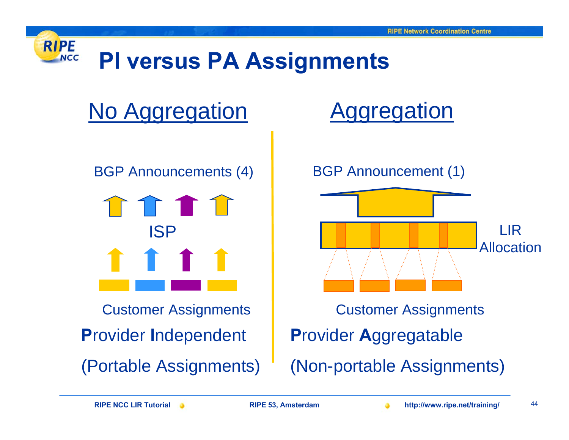

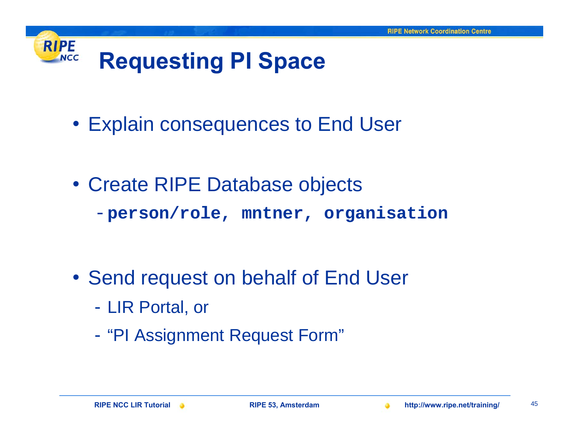### **RIPE Requesting PI Space NCC**

- Explain consequences to End User
- Create RIPE Database objects -**person/role, mntner, organisation**

- Send request on behalf of End User
	- $\mathcal{L}_{\mathcal{A}}$ LIR Portal, or
	- $\mathcal{L}_{\mathcal{A}}$ "PI Assignment Request Form"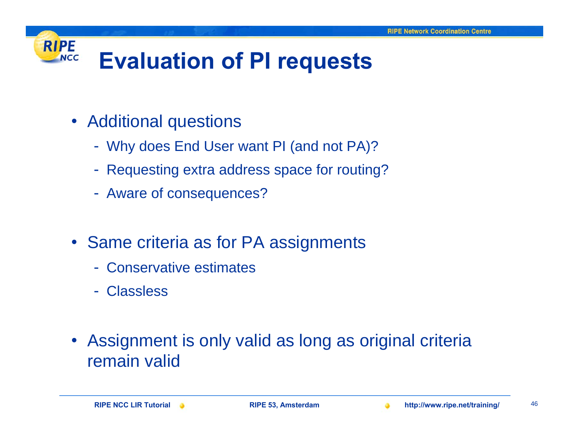#### **RIPE Evaluation of PI requests NCC**

- Additional questions
	- Why does End User want PI (and not PA)?
	- Requesting extra address space for routing?
	- Aware of consequences?
- Same criteria as for PA assignments
	- Conservative estimates
	- Classless
- $\bullet$  Assignment is only valid as long as original criteria remain valid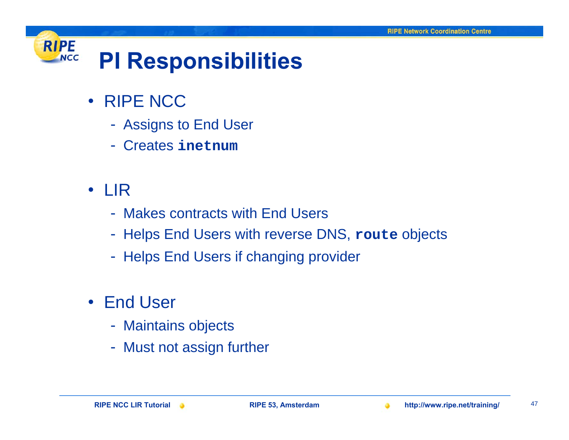#### **RIPE PI Responsibilities NCC**

### • RIPE NCC

- Assigns to End User
- Creates **inetnum**
- LIR
	- Makes contracts with End Users
	- Helps End Users with reverse DNS, **route** objects
	- Helps End Users if changing provider
- End User
	- Maintains objects
	- Must not assign further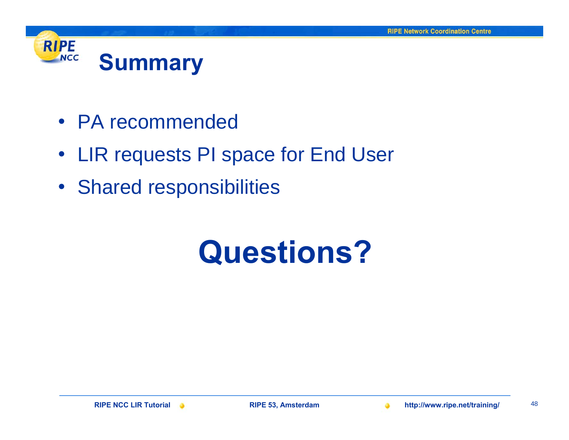

- PA recommended
- LIR requests PI space for End User
- Shared responsibilities

# **Questions?**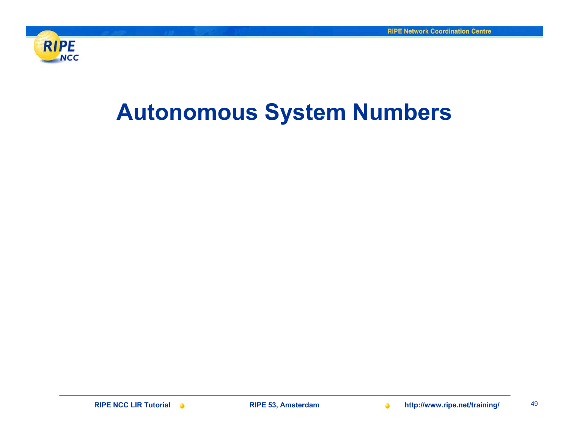

### **Autonomous System Numbers**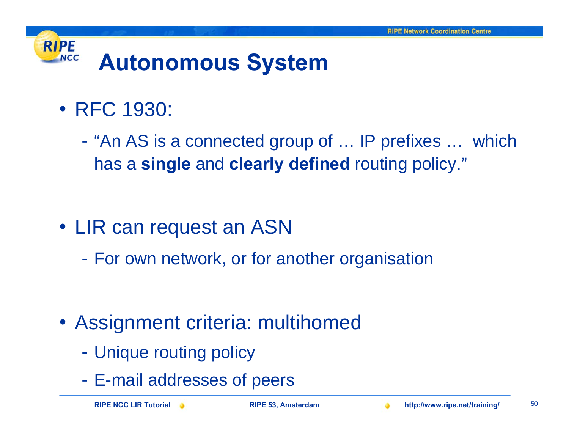### **RIPE NCC Autonomous System**

- RFC 1930:
	- $\mathcal{L}_{\mathcal{A}}$  "An AS is a connected group of … IP prefixes … which has a **single** and **clearly defined** routing policy."

- LIR can request an ASN
	- For own network, or for another organisation

- Assignment criteria: multihomed
	- Unique routing policy
	- E-mail addresses of peers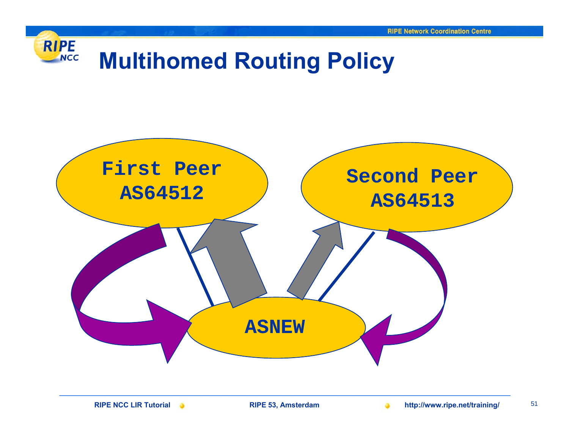



**RIPE NCC LIR Tutorial RIPE 53, Amsterdam http://www.ripe.net/training/** <sup>51</sup>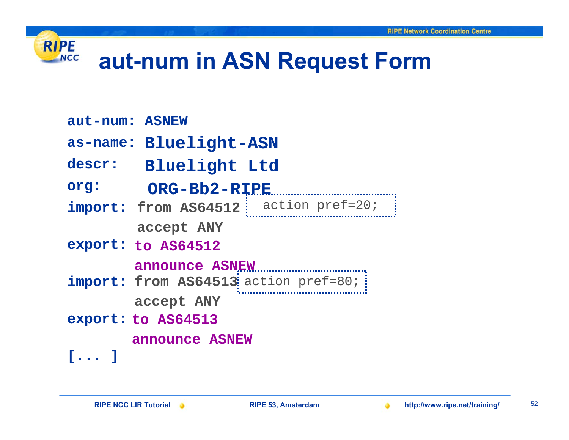

### **aut-num in ASN Request Form**

- **aut-num: ASNEW**
- as-name: Bluelight-ASN
- $\texttt{descr:}$  **Bluelight** <code>Ltd</code>
- org: ORG-Bb2-RIPE
- $import: from AS64512$   $|$  action pref=20;  $|$ **for the first peer> accept ANY**
- **export: to AS64512 export:**

**for the first peer> announce ASNEW**

- $import: from AS64513$  action pref=80;  $\vdots$ **for the second peer> accept ANY**
- **export: to AS64513 the incoming point of the income of the income of the income of the income of the income of the income of the income of the income of the income of the income of the income of the income of the income**

**for the second peer> announce ASNEW**

**[... ]**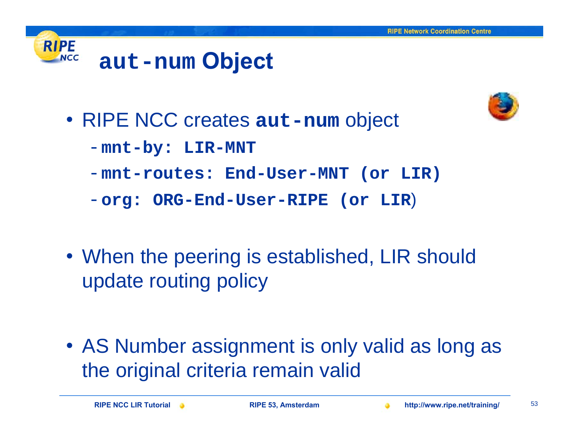



- RIPE NCC creates **aut-num** object
	- -**mnt-by: LIR-MNT**
	- -**mnt-routes: End-User-MNT (or LIR)**
	- -**org: ORG-End-User-RIPE (or LIR**)
- When the peering is established, LIR should update routing policy

• AS Number assignment is only valid as long as the original criteria remain valid

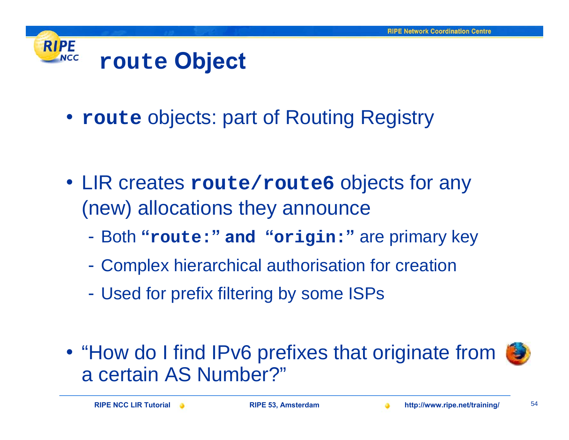

• **route** objects: part of Routing Registry

- LIR creates **route/route6** objects for any (new) allocations they announce
	- Both **"route:" and "origin: "** are primary key
	- $\mathcal{L}_{\mathcal{A}}$ Complex hierarchical authorisation for creation
	- -Used for prefix filtering by some ISPs
- "How do I find IPv6 prefixes that originate from a certain AS Number?"

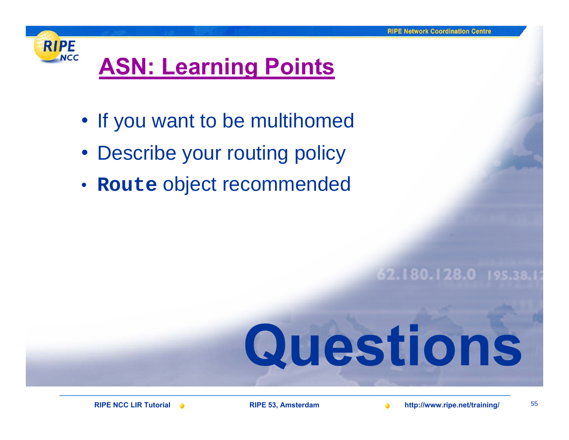

## **[ASN: Learning Points](#page-2-0)**

- If you want to be multihomed
- Describe your routing policy
- **Route** object recommended

62.180.128.0 195.38

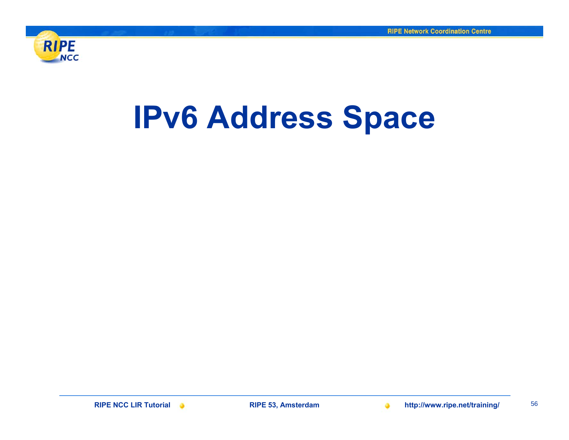

# **IPv6 Address Space**

**RIPE NCC LIR Tutorial RIPE 53, Amsterdam http://www.ripe.net/training/** <sup>56</sup>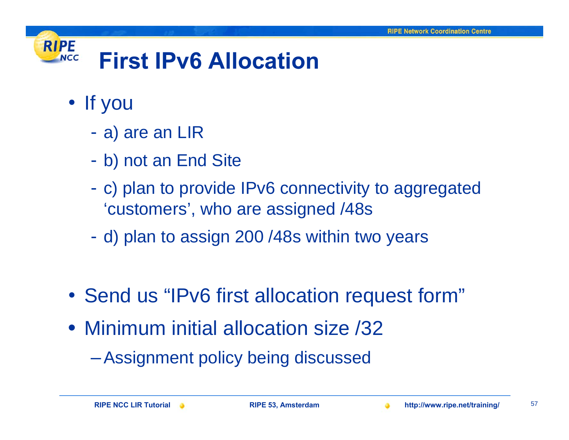#### **RIPE First IPv6 AllocationNCC**

- If you
	- a) are an LIR
	- b) not an End Site
	- c) plan to provide IPv6 connectivity to aggregated 'customers', who are assigned /48s
	- d) plan to assign 200 /48s within two years
- Send us "IPv6 first allocation request form"
- Minimum initial allocation size /32
	- –Assignment policy being discussed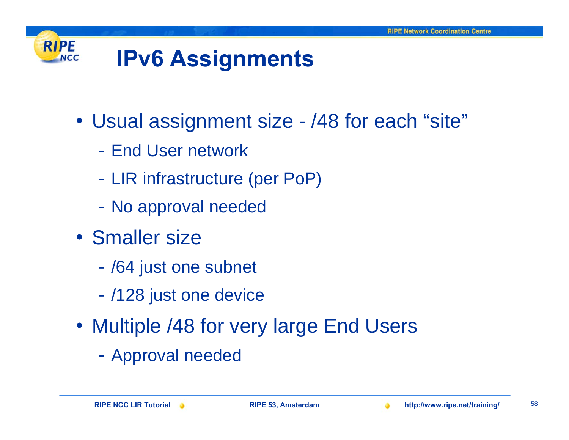#### **RIPE IPv6 Assignments NCC**

- Usual assignment size /48 for each "site"
	- End User network
	- LIR infrastructure (per PoP)
	- No approval needed
- Smaller size
	- /64 just one subnet
	- -/128 just one device
- Multiple /48 for very large End Users
	- Approval needed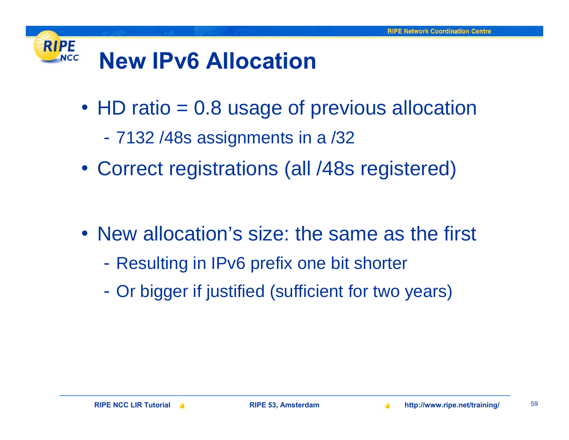#### **RIPE New IPv6 AllocationNCC**

- HD ratio = 0.8 usage of previous allocation
	- 7132 /48s assignments in a /32
- Correct registrations (all /48s registered)

- New allocation's size: the same as the first
	- $\mathcal{L}_{\mathcal{A}}$ Resulting in IPv6 prefix one bit shorter
	- Or bigger if justified (sufficient for two years)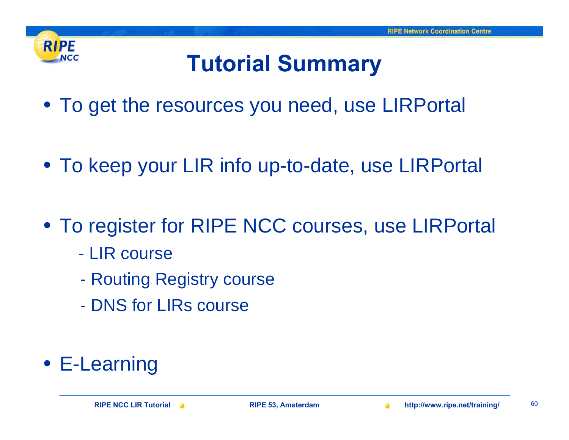

## **Tutorial Summary**

- To get the resources you need, use LIRPortal
- To keep your LIR info up-to-date, use LIRPortal
- To register for RIPE NCC courses, use LIRPortal
	- LIR course
	- -Routing Registry course
	- DNS for LIRs course
- E-Learning